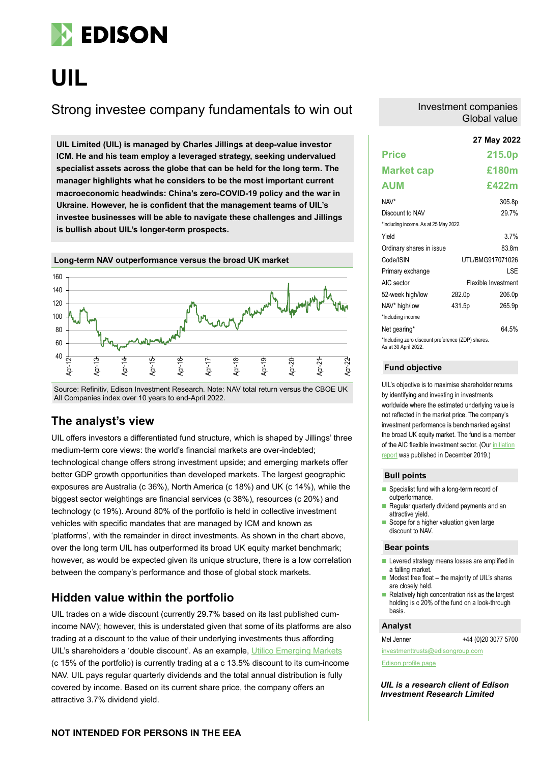

# **UIL**

# Strong investee company fundamentals to win out

**27 May 2022 UIL Limited (UIL) is managed by Charles Jillings at deep-value investor ICM. He and his team employ a leveraged strategy, seeking undervalued specialist assets across the globe that can be held for the long term. The manager highlights what he considers to be the most important current macroeconomic headwinds: China's zero-COVID-19 policy and the war in Ukraine. However, he is confident that the management teams of UIL's investee businesses will be able to navigate these challenges and Jillings is bullish about UIL's longer-term prospects.**



Source: Refinitiv, Edison Investment Research. Note: NAV total return versus the CBOE UK All Companies index over 10 years to end-April 2022.

### **The analyst's view**

UIL offers investors a differentiated fund structure, which is shaped by Jillings' three medium-term core views: the world's financial markets are over-indebted; technological change offers strong investment upside; and emerging markets offer better GDP growth opportunities than developed markets. The largest geographic exposures are Australia (c 36%), North America (c 18%) and UK (c 14%), while the biggest sector weightings are financial services (c 38%), resources (c 20%) and technology (c 19%). Around 80% of the portfolio is held in collective investment vehicles with specific mandates that are managed by ICM and known as 'platforms', with the remainder in direct investments. As shown in the chart above, over the long term UIL has outperformed its broad UK equity market benchmark; however, as would be expected given its unique structure, there is a low correlation between the company's performance and those of global stock markets.

### **Hidden value within the portfolio**

UIL trades on a wide discount (currently 29.7% based on its last published cumincome NAV); however, this is understated given that some of its platforms are also trading at a discount to the value of their underlying investments thus affording UIL's shareholders a 'double discount'. As an example, [Utilico Emerging Markets](https://www.edisongroup.com/company/utilico-emerging-markets/) (c 15% of the portfolio) is currently trading at a c 13.5% discount to its cum-income NAV. UIL pays regular quarterly dividends and the total annual distribution is fully covered by income. Based on its current share price, the company offers an attractive 3.7% dividend yield.

### Investment companies Global value

|                                                                           |        | 27 May 2022         |  |  |  |  |
|---------------------------------------------------------------------------|--------|---------------------|--|--|--|--|
| <b>Price</b>                                                              |        | 215.0p              |  |  |  |  |
| <b>Market cap</b>                                                         |        | £180m               |  |  |  |  |
| <b>AUM</b>                                                                |        | £422m               |  |  |  |  |
| NAV*                                                                      |        | 305.8p              |  |  |  |  |
| Discount to NAV                                                           |        | 29.7%               |  |  |  |  |
| *Including income. As at 25 May 2022.                                     |        |                     |  |  |  |  |
| Yield                                                                     |        | 37%                 |  |  |  |  |
| Ordinary shares in issue                                                  |        | 83.8m               |  |  |  |  |
| Code/ISIN                                                                 |        | UTL/BMG917071026    |  |  |  |  |
| Primary exchange                                                          |        | I SF                |  |  |  |  |
| AIC sector                                                                |        | Flexible Investment |  |  |  |  |
| 52-week high/low                                                          | 282.0p | 206.0p              |  |  |  |  |
| NAV* high/low                                                             | 431.5p | 265.9p              |  |  |  |  |
| *Including income                                                         |        |                     |  |  |  |  |
| Net gearing*                                                              |        | 64 5%               |  |  |  |  |
| *Including zero discount preference (ZDP) shares.<br>As at 30 April 2022. |        |                     |  |  |  |  |

### **Fund objective**

UIL's objective is to maximise shareholder returns by identifying and investing in investments worldwide where the estimated underlying value is not reflected in the market price. The company's investment performance is benchmarked against the broad UK equity market. The fund is a member of the AIC flexible investment sector. (Ou[r initiation](https://www.edisongroup.com/publication/seeking-undervalued-assets-across-the-globe/25789/)  [report](https://www.edisongroup.com/publication/seeking-undervalued-assets-across-the-globe/25789/) was published in December 2019.)

### **Bull points**

- Specialist fund with a long-term record of outperformance.
- Regular quarterly dividend payments and an attractive yield. Scope for a higher valuation given large
- discount to NAV.

### **Bear points**

- Levered strategy means losses are amplified in a falling market.
- Modest free float the majority of UIL's shares are closely held.
- $\blacksquare$  Relatively high concentration risk as the largest holding is c 20% of the fund on a look-through basis.

### **Analyst**

Mel Jenner +44 (0)20 3077 5700

[Edison profile page](https://www.edisongroup.com/company/uil-ltd/2910/)

*UIL is a research client of Edison Investment Research Limited*

[investmenttrusts@edisongroup.com](mailto:investmenttrusts@edisongroup.com)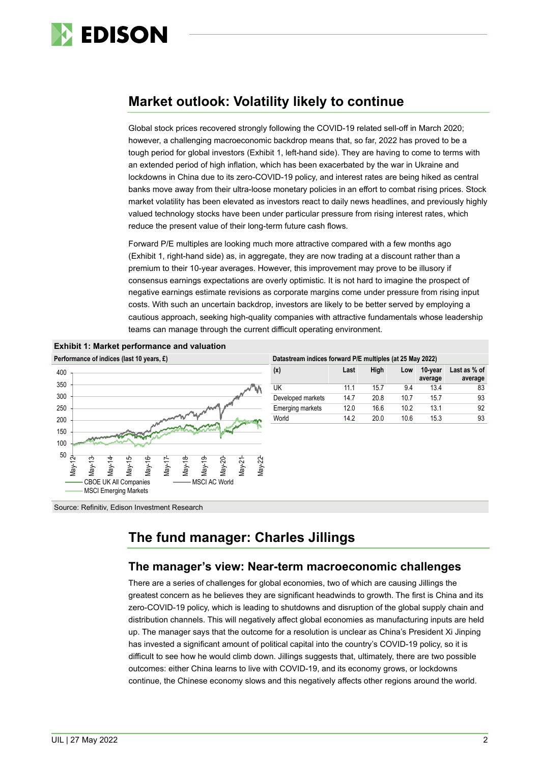

# **Market outlook: Volatility likely to continue**

Global stock prices recovered strongly following the COVID-19 related sell-off in March 2020; however, a challenging macroeconomic backdrop means that, so far, 2022 has proved to be a tough period for global investors (Exhibit 1, left-hand side). They are having to come to terms with an extended period of high inflation, which has been exacerbated by the war in Ukraine and lockdowns in China due to its zero-COVID-19 policy, and interest rates are being hiked as central banks move away from their ultra-loose monetary policies in an effort to combat rising prices. Stock market volatility has been elevated as investors react to daily news headlines, and previously highly valued technology stocks have been under particular pressure from rising interest rates, which reduce the present value of their long-term future cash flows.

Forward P/E multiples are looking much more attractive compared with a few months ago (Exhibit 1, right-hand side) as, in aggregate, they are now trading at a discount rather than a premium to their 10-year averages. However, this improvement may prove to be illusory if consensus earnings expectations are overly optimistic. It is not hard to imagine the prospect of negative earnings estimate revisions as corporate margins come under pressure from rising input costs. With such an uncertain backdrop, investors are likely to be better served by employing a cautious approach, seeking high-quality companies with attractive fundamentals whose leadership teams can manage through the current difficult operating environment.



| Datastream indices forward P/E multiples (at 25 May 2022) |      |      |      |                    |                         |  |  |
|-----------------------------------------------------------|------|------|------|--------------------|-------------------------|--|--|
| (x)                                                       | Last | High | Low  | 10-vear<br>average | Last as % of<br>average |  |  |
| UK                                                        | 11 1 | 157  | 94   | 13.4               | 83                      |  |  |
| Developed markets                                         | 147  | 20.8 | 10.7 | 157                | 93                      |  |  |
| Emerging markets                                          | 12 O | 166  | 10.2 | 131                | 92                      |  |  |
| World                                                     | 142  | 20 O | 106  | 15.3               | 93                      |  |  |

Source: Refinitiv, Edison Investment Research

# **The fund manager: Charles Jillings**

### **The manager's view: Near-term macroeconomic challenges**

There are a series of challenges for global economies, two of which are causing Jillings the greatest concern as he believes they are significant headwinds to growth. The first is China and its zero-COVID-19 policy, which is leading to shutdowns and disruption of the global supply chain and distribution channels. This will negatively affect global economies as manufacturing inputs are held up. The manager says that the outcome for a resolution is unclear as China's President Xi Jinping has invested a significant amount of political capital into the country's COVID-19 policy, so it is difficult to see how he would climb down. Jillings suggests that, ultimately, there are two possible outcomes: either China learns to live with COVID-19, and its economy grows, or lockdowns continue, the Chinese economy slows and this negatively affects other regions around the world.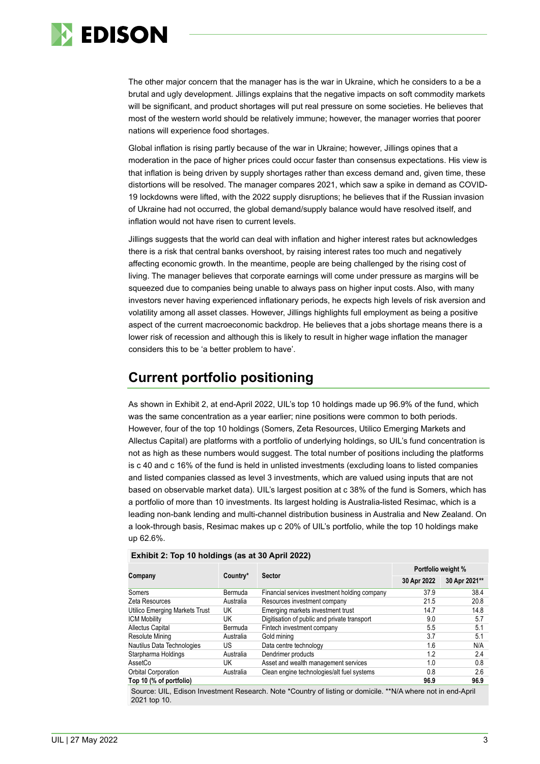

The other major concern that the manager has is the war in Ukraine, which he considers to a be a brutal and ugly development. Jillings explains that the negative impacts on soft commodity markets will be significant, and product shortages will put real pressure on some societies. He believes that most of the western world should be relatively immune; however, the manager worries that poorer nations will experience food shortages.

Global inflation is rising partly because of the war in Ukraine; however, Jillings opines that a moderation in the pace of higher prices could occur faster than consensus expectations. His view is that inflation is being driven by supply shortages rather than excess demand and, given time, these distortions will be resolved. The manager compares 2021, which saw a spike in demand as COVID-19 lockdowns were lifted, with the 2022 supply disruptions; he believes that if the Russian invasion of Ukraine had not occurred, the global demand/supply balance would have resolved itself, and inflation would not have risen to current levels.

Jillings suggests that the world can deal with inflation and higher interest rates but acknowledges there is a risk that central banks overshoot, by raising interest rates too much and negatively affecting economic growth. In the meantime, people are being challenged by the rising cost of living. The manager believes that corporate earnings will come under pressure as margins will be squeezed due to companies being unable to always pass on higher input costs. Also, with many investors never having experienced inflationary periods, he expects high levels of risk aversion and volatility among all asset classes. However, Jillings highlights full employment as being a positive aspect of the current macroeconomic backdrop. He believes that a jobs shortage means there is a lower risk of recession and although this is likely to result in higher wage inflation the manager considers this to be 'a better problem to have'.

# **Current portfolio positioning**

As shown in Exhibit 2, at end-April 2022, UIL's top 10 holdings made up 96.9% of the fund, which was the same concentration as a year earlier; nine positions were common to both periods. However, four of the top 10 holdings (Somers, Zeta Resources, Utilico Emerging Markets and Allectus Capital) are platforms with a portfolio of underlying holdings, so UIL's fund concentration is not as high as these numbers would suggest. The total number of positions including the platforms is c 40 and c 16% of the fund is held in unlisted investments (excluding loans to listed companies and listed companies classed as level 3 investments, which are valued using inputs that are not based on observable market data). UIL's largest position at c 38% of the fund is Somers, which has a portfolio of more than 10 investments. Its largest holding is Australia-listed Resimac, which is a leading non-bank lending and multi-channel distribution business in Australia and New Zealand. On a look-through basis, Resimac makes up c 20% of UIL's portfolio, while the top 10 holdings make up 62.6%.

|                                | Company<br><b>Sector</b><br>Country* |                                               | Portfolio weight % |               |  |
|--------------------------------|--------------------------------------|-----------------------------------------------|--------------------|---------------|--|
|                                |                                      |                                               | 30 Apr 2022        | 30 Apr 2021** |  |
| Somers                         | Bermuda                              | Financial services investment holding company | 37.9               | 38.4          |  |
| Zeta Resources                 | Australia                            | Resources investment company                  | 21.5               | 20.8          |  |
| Utilico Emerging Markets Trust | UK                                   | Emerging markets investment trust             | 14.7               | 14.8          |  |
| <b>ICM Mobility</b>            | UK                                   | Digitisation of public and private transport  | 9.0                | 5.7           |  |
| Allectus Capital               | Bermuda                              | Fintech investment company                    | 5.5                | 5.1           |  |
| Resolute Mining                | Australia                            | Gold mining                                   | 3.7                | 5.1           |  |
| Nautilus Data Technologies     | US                                   | Data centre technology                        | 1.6                | N/A           |  |
| Starpharma Holdings            | Australia                            | Dendrimer products                            | 1.2                | 2.4           |  |
| AssetCo                        | UK                                   | Asset and wealth management services          | 1.0                | 0.8           |  |
| Orbital Corporation            | Australia                            | Clean engine technologies/alt fuel systems    | 0.8                | 2.6           |  |
| Top 10 (% of portfolio)        |                                      |                                               | 96.9               | 96.9          |  |
|                                |                                      |                                               |                    |               |  |

**Exhibit 2: Top 10 holdings (as at 30 April 2022)**

ource: UIL. Edison Investment Research. Note \*Country of listing or domicile. \*\*N/A where not in end-April 2021 top 10.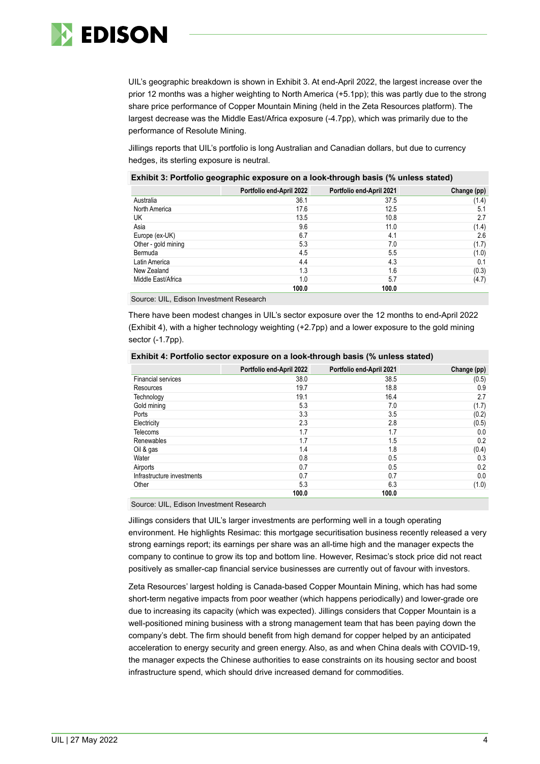

UIL's geographic breakdown is shown in Exhibit 3. At end-April 2022, the largest increase over the prior 12 months was a higher weighting to North America (+5.1pp); this was partly due to the strong share price performance of Copper Mountain Mining (held in the Zeta Resources platform). The largest decrease was the Middle East/Africa exposure (-4.7pp), which was primarily due to the performance of Resolute Mining.

Jillings reports that UIL's portfolio is long Australian and Canadian dollars, but due to currency hedges, its sterling exposure is neutral.

|                     | -<br>. .                 | . .<br>$\cdot$           | $\mathbf{r}$ |
|---------------------|--------------------------|--------------------------|--------------|
|                     | Portfolio end-April 2022 | Portfolio end-April 2021 | Change (pp)  |
| Australia           |                          | 36.1<br>37.5             | (1.4)        |
| North America       |                          | 17.6<br>12.5             | 5.1          |
| UK                  |                          | 10.8<br>13.5             | 2.7          |
| Asia                |                          | 9.6<br>11.0              | (1.4)        |
| Europe (ex-UK)      |                          | 6.7<br>4.1               | 2.6          |
| Other - gold mining |                          | 5.3<br>7.0               | (1.7)        |
| Bermuda             |                          | 4.5<br>5.5               | (1.0)        |
| Latin America       |                          | 4.3<br>4.4               | 0.1          |
| New Zealand         |                          | 1.3<br>1.6               | (0.3)        |
| Middle East/Africa  |                          | 5.7<br>1.0               | (4.7)        |
|                     |                          | 100.0<br>100.0           |              |

### **Exhibit 3: Portfolio geographic exposure on a look-through basis (% unless stated)**

Source: UIL, Edison Investment Research

There have been modest changes in UIL's sector exposure over the 12 months to end-April 2022 (Exhibit 4), with a higher technology weighting (+2.7pp) and a lower exposure to the gold mining sector (-1.7pp).

|                            | Portfolio end-April 2022 | Portfolio end-April 2021 | Change (pp) |
|----------------------------|--------------------------|--------------------------|-------------|
| <b>Financial services</b>  | 38.0                     | 38.5                     | (0.5)       |
| Resources                  | 19.7                     | 18.8                     | 0.9         |
| Technology                 | 19.1                     | 16.4                     | 2.7         |
| Gold mining                | 5.3                      | 7.0                      | (1.7)       |
| Ports                      | 3.3                      | 3.5                      | (0.2)       |
| Electricity                | 2.3                      | 2.8                      | (0.5)       |
| Telecoms                   | 1.7                      | 1.7                      | 0.0         |
| Renewables                 | 1.7                      | 1.5                      | 0.2         |
| Oil & gas                  | 1.4                      | 1.8                      | (0.4)       |
| Water                      | 0.8                      | 0.5                      | 0.3         |
| Airports                   | 0.7                      | 0.5                      | 0.2         |
| Infrastructure investments | 0.7                      | 0.7                      | 0.0         |
| Other                      | 5.3                      | 6.3                      | (1.0)       |
|                            | 100.0                    | 100.0                    |             |

### **Exhibit 4: Portfolio sector exposure on a look-through basis (% unless stated)**

Source: UIL, Edison Investment Research

Jillings considers that UIL's larger investments are performing well in a tough operating environment. He highlights Resimac: this mortgage securitisation business recently released a very strong earnings report; its earnings per share was an all-time high and the manager expects the company to continue to grow its top and bottom line. However, Resimac's stock price did not react positively as smaller-cap financial service businesses are currently out of favour with investors.

Zeta Resources' largest holding is Canada-based Copper Mountain Mining, which has had some short-term negative impacts from poor weather (which happens periodically) and lower-grade ore due to increasing its capacity (which was expected). Jillings considers that Copper Mountain is a well-positioned mining business with a strong management team that has been paying down the company's debt. The firm should benefit from high demand for copper helped by an anticipated acceleration to energy security and green energy. Also, as and when China deals with COVID-19, the manager expects the Chinese authorities to ease constraints on its housing sector and boost infrastructure spend, which should drive increased demand for commodities.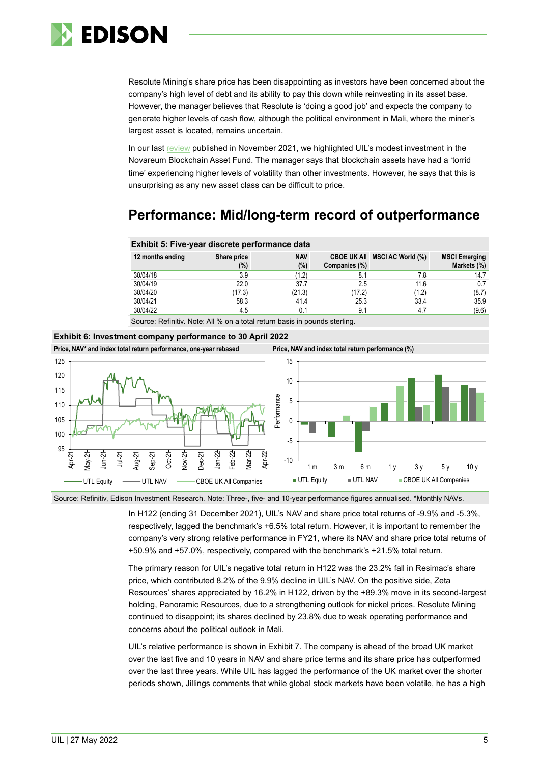

Resolute Mining's share price has been disappointing as investors have been concerned about the company's high level of debt and its ability to pay this down while reinvesting in its asset base. However, the manager believes that Resolute is 'doing a good job' and expects the company to generate higher levels of cash flow, although the political environment in Mali, where the miner's largest asset is located, remains uncertain.

In our last [review](https://www.edisongroup.com/publication/a-unique-portfolio-of-undervalued-global-assets/30174/) published in November 2021, we highlighted UIL's modest investment in the Novareum Blockchain Asset Fund. The manager says that blockchain assets have had a 'torrid time' experiencing higher levels of volatility than other investments. However, he says that this is unsurprising as any new asset class can be difficult to price.

# **Performance: Mid/long-term record of outperformance**

|                                                                           | <b>EXIMPIL 0.</b> I IVG-YOUI GIOOIGIG POTTOMINGHOG GUID |                      |               |                               |                                     |  |  |
|---------------------------------------------------------------------------|---------------------------------------------------------|----------------------|---------------|-------------------------------|-------------------------------------|--|--|
| 12 months ending                                                          | Share price<br>(%)                                      | <b>NAV</b><br>$(\%)$ | Companies (%) | CBOE UK All MSCI AC World (%) | <b>MSCI Emerging</b><br>Markets (%) |  |  |
| 30/04/18                                                                  | 3.9                                                     | (1.2)                | 8.1           | 7.8                           | 14.7                                |  |  |
| 30/04/19                                                                  | 22.0                                                    | 37.7                 | 2.5           | 11.6                          | 0.7                                 |  |  |
| 30/04/20                                                                  | (17.3)                                                  | (21.3)               | (17.2)        | (1.2)                         | (8.7)                               |  |  |
| 30/04/21                                                                  | 58.3                                                    | 41.4                 | 25.3          | 33.4                          | 35.9                                |  |  |
| 30/04/22                                                                  | 4.5                                                     | 0.1                  | 9.1           | 4.7                           | (9.6)                               |  |  |
| Source: Refinitiv, Note: All % on a total return basis in pounds starling |                                                         |                      |               |                               |                                     |  |  |

Source: Refinitiv. Note: All % on a total return basis in pounds sterling.

**Exhibit 5: Five-year discrete performance data**

### **Exhibit 6: Investment company performance to 30 April 2022**

**Price, NAV\* and index total return performance, one-year rebased Price, NAV and index total return performance (%)**



Source: Refinitiv, Edison Investment Research. Note: Three-, five- and 10-year performance figures annualised. \*Monthly NAVs.

In H122 (ending 31 December 2021), UIL's NAV and share price total returns of -9.9% and -5.3%, respectively, lagged the benchmark's +6.5% total return. However, it is important to remember the company's very strong relative performance in FY21, where its NAV and share price total returns of +50.9% and +57.0%, respectively, compared with the benchmark's +21.5% total return.

The primary reason for UIL's negative total return in H122 was the 23.2% fall in Resimac's share price, which contributed 8.2% of the 9.9% decline in UIL's NAV. On the positive side, Zeta Resources' shares appreciated by 16.2% in H122, driven by the +89.3% move in its second-largest holding, Panoramic Resources, due to a strengthening outlook for nickel prices. Resolute Mining continued to disappoint; its shares declined by 23.8% due to weak operating performance and concerns about the political outlook in Mali.

UIL's relative performance is shown in Exhibit 7. The company is ahead of the broad UK market over the last five and 10 years in NAV and share price terms and its share price has outperformed over the last three years. While UIL has lagged the performance of the UK market over the shorter periods shown, Jillings comments that while global stock markets have been volatile, he has a high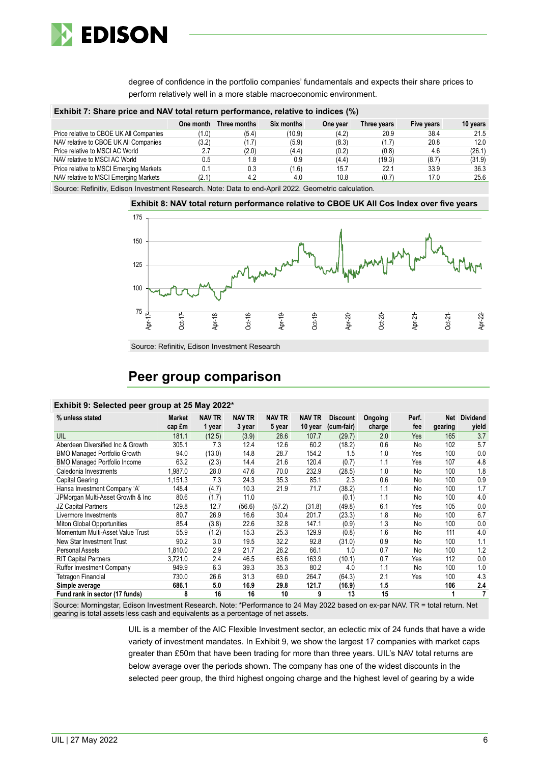

degree of confidence in the portfolio companies' fundamentals and expects their share prices to perform relatively well in a more stable macroeconomic environment.

| Exhibit 7: Share price and NAV total return performance, relative to indices (%) |  |  |  |  |  |  |  |  |  |
|----------------------------------------------------------------------------------|--|--|--|--|--|--|--|--|--|
|----------------------------------------------------------------------------------|--|--|--|--|--|--|--|--|--|

|                                         | One month | Three months | Six months | One year | Three years | Five years | 10 years |
|-----------------------------------------|-----------|--------------|------------|----------|-------------|------------|----------|
| Price relative to CBOE UK All Companies | (1.0)     | (5.4)        | (10.9)     | (4.2)    | 20.9        | 38.4       | 21.5     |
| NAV relative to CBOE UK All Companies   | (3.2)     | (1.7)        | (5.9)      | (8.3)    | (1.7)       | 20.8       | 12.0     |
| Price relative to MSCI AC World         | 2.7       | (2.0)        | (4.4)      | (0.2)    | (0.8)       | 4.6        | (26.1)   |
| NAV relative to MSCI AC World           | 0.5       | 1.8          | 0.9        | (4.4)    | (19.3)      | (8.7)      | (31.9)   |
| Price relative to MSCI Emerging Markets | 0.1       | 0.3          | (1.6)      | 15.7     | 22.1        | 33.9       | 36.3     |
| NAV relative to MSCI Emerging Markets   | (2.1)     | 4.2          | 4.0        | 10.8     | (0.7)       | 17.0       | 25.6     |
|                                         |           |              |            |          |             |            |          |

Source: Refinitiv, Edison Investment Research. Note: Data to end-April 2022. Geometric calculation.



Source: Refinitiv, Edison Investment Research

## **Peer group comparison**

### **Exhibit 9: Selected peer group at 25 May 2022\***

| % unless stated                     | Market<br>cap £m | <b>NAV TR</b><br>1 year | <b>NAV TR</b><br>3 year | <b>NAV TR</b><br>5 year | <b>NAV TR</b><br>10 year | <b>Discount</b><br>(cum-fair) | Ongoing<br>charge | Perf.<br>fee | <b>Net</b><br>gearing | <b>Dividend</b><br>yield |
|-------------------------------------|------------------|-------------------------|-------------------------|-------------------------|--------------------------|-------------------------------|-------------------|--------------|-----------------------|--------------------------|
| UIL                                 | 181.1            | (12.5)                  | (3.9)                   | 28.6                    | 107.7                    | (29.7)                        | 2.0               | Yes          | 165                   | 3.7                      |
| Aberdeen Diversified Inc & Growth   | 305.1            | 7.3                     | 12.4                    | 12.6                    | 60.2                     | (18.2)                        | 0.6               | No           | 102                   | 5.7                      |
| <b>BMO Managed Portfolio Growth</b> | 94.0             | (13.0)                  | 14.8                    | 28.7                    | 154.2                    | 1.5                           | 1.0               | Yes          | 100                   | 0.0                      |
| <b>BMO Managed Portfolio Income</b> | 63.2             | (2.3)                   | 14.4                    | 21.6                    | 120.4                    | (0.7)                         | 1.1               | Yes          | 107                   | 4.8                      |
| Caledonia Investments               | 1.987.0          | 28.0                    | 47.6                    | 70.0                    | 232.9                    | (28.5)                        | 1.0               | No           | 100                   | 1.8                      |
| Capital Gearing                     | 1,151.3          | 7.3                     | 24.3                    | 35.3                    | 85.1                     | 2.3                           | 0.6               | No           | 100                   | 0.9                      |
| Hansa Investment Company 'A'        | 148.4            | (4.7)                   | 10.3                    | 21.9                    | 71.7                     | (38.2)                        | 1.1               | No           | 100                   | 1.7                      |
| JPMorgan Multi-Asset Growth & Inc   | 80.6             | (1.7)                   | 11.0                    |                         |                          | (0.1)                         | 1.1               | No           | 100                   | 4.0                      |
| JZ Capital Partners                 | 129.8            | 12.7                    | (56.6)                  | (57.2)                  | (31.8)                   | (49.8)                        | 6.1               | Yes          | 105                   | 0.0                      |
| Livermore Investments               | 80.7             | 26.9                    | 16.6                    | 30.4                    | 201.7                    | (23.3)                        | 1.8               | No           | 100                   | 6.7                      |
| Miton Global Opportunities          | 85.4             | (3.8)                   | 22.6                    | 32.8                    | 147.1                    | (0.9)                         | 1.3               | No           | 100                   | 0.0                      |
| Momentum Multi-Asset Value Trust    | 55.9             | (1.2)                   | 15.3                    | 25.3                    | 129.9                    | (0.8)                         | 1.6               | No           | 111                   | 4.0                      |
| New Star Investment Trust           | 90.2             | 3.0                     | 19.5                    | 32.2                    | 92.8                     | (31.0)                        | 0.9               | No           | 100                   | 1.1                      |
| Personal Assets                     | 1.810.0          | 2.9                     | 21.7                    | 26.2                    | 66.1                     | 1.0                           | 0.7               | No           | 100                   | 1.2                      |
| <b>RIT Capital Partners</b>         | 3,721.0          | 2.4                     | 46.5                    | 63.6                    | 163.9                    | (10.1)                        | 0.7               | Yes          | 112                   | 0.0                      |
| <b>Ruffer Investment Company</b>    | 949.9            | 6.3                     | 39.3                    | 35.3                    | 80.2                     | 4.0                           | 1.1               | No           | 100                   | 1.0                      |
| Tetragon Financial                  | 730.0            | 26.6                    | 31.3                    | 69.0                    | 264.7                    | (64.3)                        | 2.1               | Yes          | 100                   | 4.3                      |
| Simple average                      | 686.1            | 5.0                     | 16.9                    | 29.8                    | 121.7                    | (16.9)                        | 1.5               |              | 106                   | 2.4                      |
| Fund rank in sector (17 funds)      | 8                | 16                      | 16                      | 10                      | 9                        | 13                            | 15                |              |                       |                          |

Source: Morningstar, Edison Investment Research. Note: \*Performance to 24 May 2022 based on ex-par NAV. TR = total return. Net gearing is total assets less cash and equivalents as a percentage of net assets.

> UIL is a member of the AIC Flexible Investment sector, an eclectic mix of 24 funds that have a wide variety of investment mandates. In Exhibit 9, we show the largest 17 companies with market caps greater than £50m that have been trading for more than three years. UIL's NAV total returns are below average over the periods shown. The company has one of the widest discounts in the selected peer group, the third highest ongoing charge and the highest level of gearing by a wide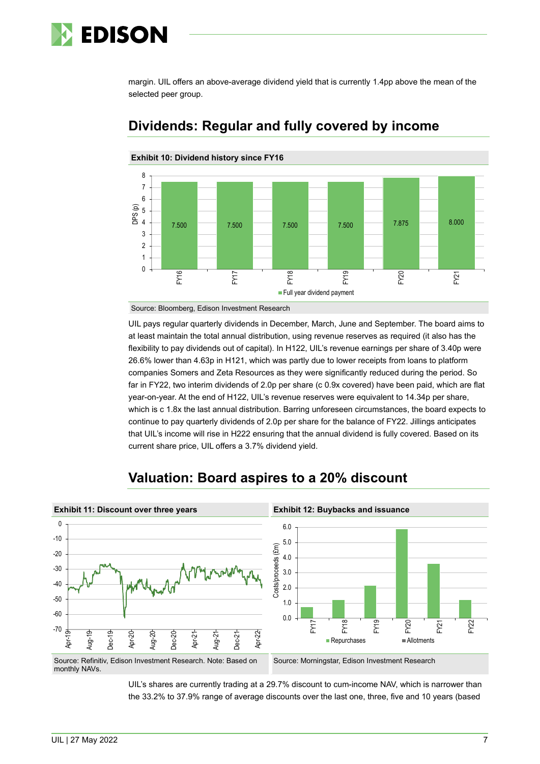# **EDISON**

margin. UIL offers an above-average dividend yield that is currently 1.4pp above the mean of the selected peer group.



## **Dividends: Regular and fully covered by income**

Source: Bloomberg, Edison Investment Research

UIL pays regular quarterly dividends in December, March, June and September. The board aims to at least maintain the total annual distribution, using revenue reserves as required (it also has the flexibility to pay dividends out of capital). In H122, UIL's revenue earnings per share of 3.40p were 26.6% lower than 4.63p in H121, which was partly due to lower receipts from loans to platform companies Somers and Zeta Resources as they were significantly reduced during the period. So far in FY22, two interim dividends of 2.0p per share (c 0.9x covered) have been paid, which are flat year-on-year. At the end of H122, UIL's revenue reserves were equivalent to 14.34p per share, which is c 1.8x the last annual distribution. Barring unforeseen circumstances, the board expects to continue to pay quarterly dividends of 2.0p per share for the balance of FY22. Jillings anticipates that UIL's income will rise in H222 ensuring that the annual dividend is fully covered. Based on its current share price, UIL offers a 3.7% dividend yield.



# **Valuation: Board aspires to a 20% discount**

UIL's shares are currently trading at a 29.7% discount to cum-income NAV, which is narrower than the 33.2% to 37.9% range of average discounts over the last one, three, five and 10 years (based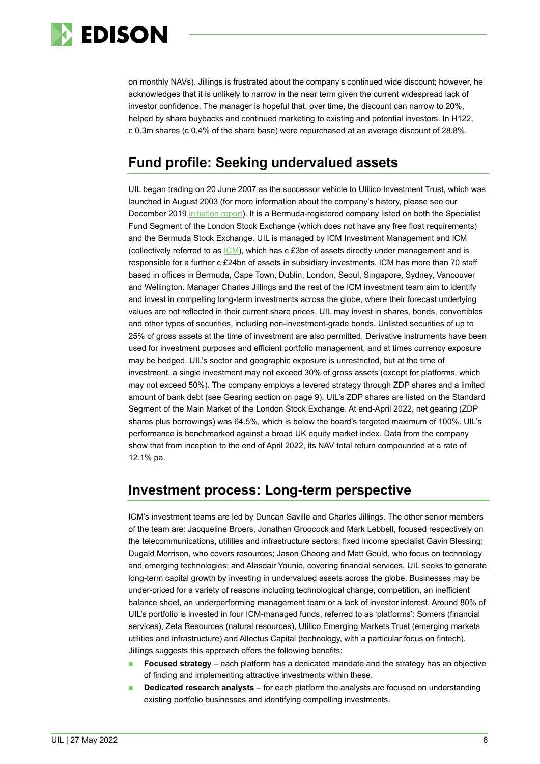

on monthly NAVs). Jillings is frustrated about the company's continued wide discount; however, he acknowledges that it is unlikely to narrow in the near term given the current widespread lack of investor confidence. The manager is hopeful that, over time, the discount can narrow to 20%, helped by share buybacks and continued marketing to existing and potential investors. In H122, c 0.3m shares (c 0.4% of the share base) were repurchased at an average discount of 28.8%.

# **Fund profile: Seeking undervalued assets**

UIL began trading on 20 June 2007 as the successor vehicle to Utilico Investment Trust, which was launched in August 2003 (for more information about the company's history, please see our December 2019 [initiation report\)](https://www.edisongroup.com/publication/seeking-undervalued-assets-across-the-globe/25789). It is a Bermuda-registered company listed on both the Specialist Fund Segment of the London Stock Exchange (which does not have any free float requirements) and the Bermuda Stock Exchange. UIL is managed by ICM Investment Management and ICM (collectively referred to as  $|CM\rangle$ , which has c £3bn of assets directly under management and is responsible for a further c £24bn of assets in subsidiary investments. ICM has more than 70 staff based in offices in Bermuda, Cape Town, Dublin, London, Seoul, Singapore, Sydney, Vancouver and Wellington. Manager Charles Jillings and the rest of the ICM investment team aim to identify and invest in compelling long-term investments across the globe, where their forecast underlying values are not reflected in their current share prices. UIL may invest in shares, bonds, convertibles and other types of securities, including non-investment-grade bonds. Unlisted securities of up to 25% of gross assets at the time of investment are also permitted. Derivative instruments have been used for investment purposes and efficient portfolio management, and at times currency exposure may be hedged. UIL's sector and geographic exposure is unrestricted, but at the time of investment, a single investment may not exceed 30% of gross assets (except for platforms, which may not exceed 50%). The company employs a levered strategy through ZDP shares and a limited amount of bank debt (see Gearing section on page 9). UIL's ZDP shares are listed on the Standard Segment of the Main Market of the London Stock Exchange. At end-April 2022, net gearing (ZDP shares plus borrowings) was 64.5%, which is below the board's targeted maximum of 100%. UIL's performance is benchmarked against a broad UK equity market index. Data from the company show that from inception to the end of April 2022, its NAV total return compounded at a rate of 12.1% pa.

## **Investment process: Long-term perspective**

ICM's investment teams are led by Duncan Saville and Charles Jillings. The other senior members of the team are: Jacqueline Broers, Jonathan Groocock and Mark Lebbell, focused respectively on the telecommunications, utilities and infrastructure sectors; fixed income specialist Gavin Blessing; Dugald Morrison, who covers resources; Jason Cheong and Matt Gould, who focus on technology and emerging technologies; and Alasdair Younie, covering financial services. UIL seeks to generate long-term capital growth by investing in undervalued assets across the globe. Businesses may be under-priced for a variety of reasons including technological change, competition, an inefficient balance sheet, an underperforming management team or a lack of investor interest. Around 80% of UIL's portfolio is invested in four ICM-managed funds, referred to as 'platforms': Somers (financial services), Zeta Resources (natural resources), Utilico Emerging Markets Trust (emerging markets utilities and infrastructure) and Allectus Capital (technology, with a particular focus on fintech). Jillings suggests this approach offers the following benefits:

- **Focused strategy** each platform has a dedicated mandate and the strategy has an objective of finding and implementing attractive investments within these.
- **Dedicated research analysts** for each platform the analysts are focused on understanding existing portfolio businesses and identifying compelling investments.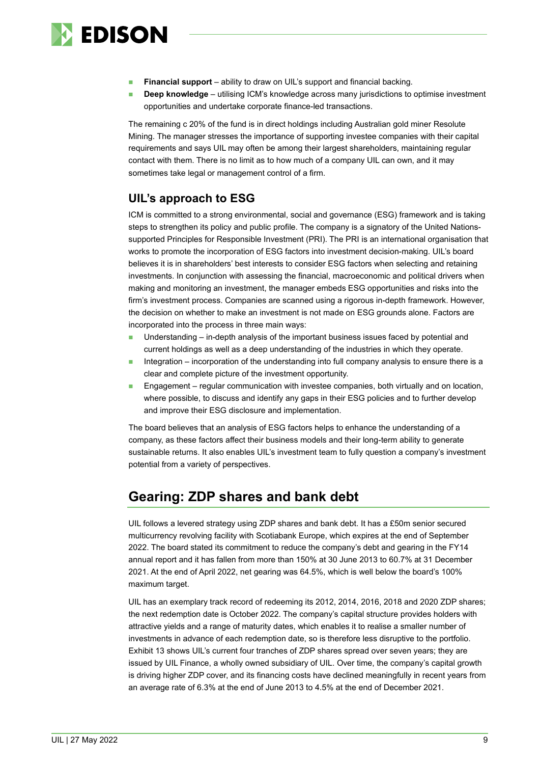

- **Financial support** ability to draw on UIL's support and financial backing.
- **Deep knowledge** utilising ICM's knowledge across many jurisdictions to optimise investment opportunities and undertake corporate finance-led transactions.

The remaining c 20% of the fund is in direct holdings including Australian gold miner Resolute Mining. The manager stresses the importance of supporting investee companies with their capital requirements and says UIL may often be among their largest shareholders, maintaining regular contact with them. There is no limit as to how much of a company UIL can own, and it may sometimes take legal or management control of a firm.

## **UIL's approach to ESG**

ICM is committed to a strong environmental, social and governance (ESG) framework and is taking steps to strengthen its policy and public profile. The company is a signatory of the United Nationssupported Principles for Responsible Investment (PRI). The PRI is an international organisation that works to promote the incorporation of ESG factors into investment decision-making. UIL's board believes it is in shareholders' best interests to consider ESG factors when selecting and retaining investments. In conjunction with assessing the financial, macroeconomic and political drivers when making and monitoring an investment, the manager embeds ESG opportunities and risks into the firm's investment process. Companies are scanned using a rigorous in-depth framework. However, the decision on whether to make an investment is not made on ESG grounds alone. Factors are incorporated into the process in three main ways:

- Understanding in-depth analysis of the important business issues faced by potential and current holdings as well as a deep understanding of the industries in which they operate.
- Integration incorporation of the understanding into full company analysis to ensure there is a clear and complete picture of the investment opportunity.
- Engagement regular communication with investee companies, both virtually and on location, where possible, to discuss and identify any gaps in their ESG policies and to further develop and improve their ESG disclosure and implementation.

The board believes that an analysis of ESG factors helps to enhance the understanding of a company, as these factors affect their business models and their long-term ability to generate sustainable returns. It also enables UIL's investment team to fully question a company's investment potential from a variety of perspectives.

# **Gearing: ZDP shares and bank debt**

UIL follows a levered strategy using ZDP shares and bank debt. It has a £50m senior secured multicurrency revolving facility with Scotiabank Europe, which expires at the end of September 2022. The board stated its commitment to reduce the company's debt and gearing in the FY14 annual report and it has fallen from more than 150% at 30 June 2013 to 60.7% at 31 December 2021. At the end of April 2022, net gearing was 64.5%, which is well below the board's 100% maximum target.

UIL has an exemplary track record of redeeming its 2012, 2014, 2016, 2018 and 2020 ZDP shares; the next redemption date is October 2022. The company's capital structure provides holders with attractive yields and a range of maturity dates, which enables it to realise a smaller number of investments in advance of each redemption date, so is therefore less disruptive to the portfolio. Exhibit 13 shows UIL's current four tranches of ZDP shares spread over seven years; they are issued by UIL Finance, a wholly owned subsidiary of UIL. Over time, the company's capital growth is driving higher ZDP cover, and its financing costs have declined meaningfully in recent years from an average rate of 6.3% at the end of June 2013 to 4.5% at the end of December 2021.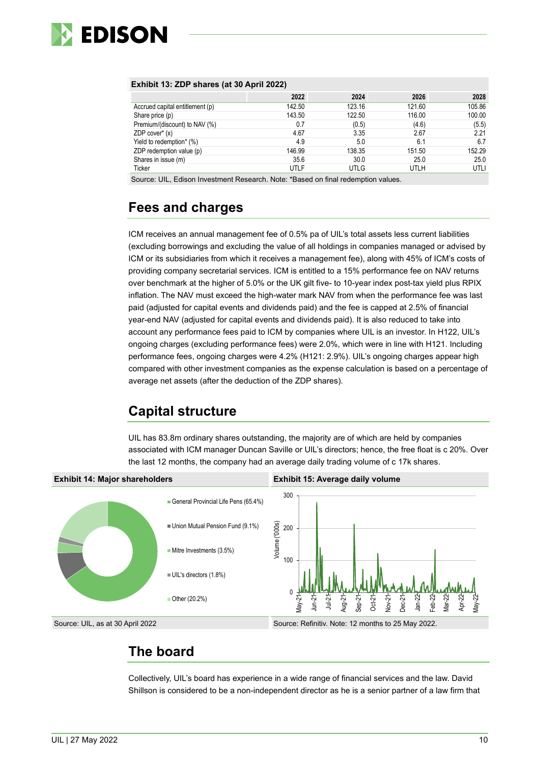

### **Exhibit 13: ZDP shares (at 30 April 2022)**

|                                 | 2022   | 2024   | 2026   | 2028   |
|---------------------------------|--------|--------|--------|--------|
| Accrued capital entitlement (p) | 142.50 | 123.16 | 121.60 | 105.86 |
| Share price (p)                 | 143.50 | 122.50 | 116.00 | 100.00 |
| Premium/(discount) to NAV (%)   | 0.7    | (0.5)  | (4.6)  | (5.5)  |
| ZDP cover $*(x)$                | 4.67   | 3.35   | 2.67   | 2.21   |
| Yield to redemption* (%)        | 4.9    | 5.0    | 6.1    | 6.7    |
| ZDP redemption value (p)        | 146.99 | 138.35 | 151.50 | 152.29 |
| Shares in issue (m)             | 35.6   | 30.0   | 25.0   | 25.0   |
| Ticker                          | UTLF   | UTLG   | UTLH   | UTLI   |

Source: UIL, Edison Investment Research. Note: \*Based on final redemption values.

# **Fees and charges**

ICM receives an annual management fee of 0.5% pa of UIL's total assets less current liabilities (excluding borrowings and excluding the value of all holdings in companies managed or advised by ICM or its subsidiaries from which it receives a management fee), along with 45% of ICM's costs of providing company secretarial services. ICM is entitled to a 15% performance fee on NAV returns over benchmark at the higher of 5.0% or the UK gilt five- to 10-year index post-tax yield plus RPIX inflation. The NAV must exceed the high-water mark NAV from when the performance fee was last paid (adjusted for capital events and dividends paid) and the fee is capped at 2.5% of financial year-end NAV (adjusted for capital events and dividends paid). It is also reduced to take into account any performance fees paid to ICM by companies where UIL is an investor. In H122, UIL's ongoing charges (excluding performance fees) were 2.0%, which were in line with H121. Including performance fees, ongoing charges were 4.2% (H121: 2.9%). UIL's ongoing charges appear high compared with other investment companies as the expense calculation is based on a percentage of average net assets (after the deduction of the ZDP shares).

# **Capital structure**

UIL has 83.8m ordinary shares outstanding, the majority are of which are held by companies associated with ICM manager Duncan Saville or UIL's directors; hence, the free float is c 20%. Over the last 12 months, the company had an average daily trading volume of c 17k shares.



# **The board**

Collectively, UIL's board has experience in a wide range of financial services and the law. David Shillson is considered to be a non-independent director as he is a senior partner of a law firm that